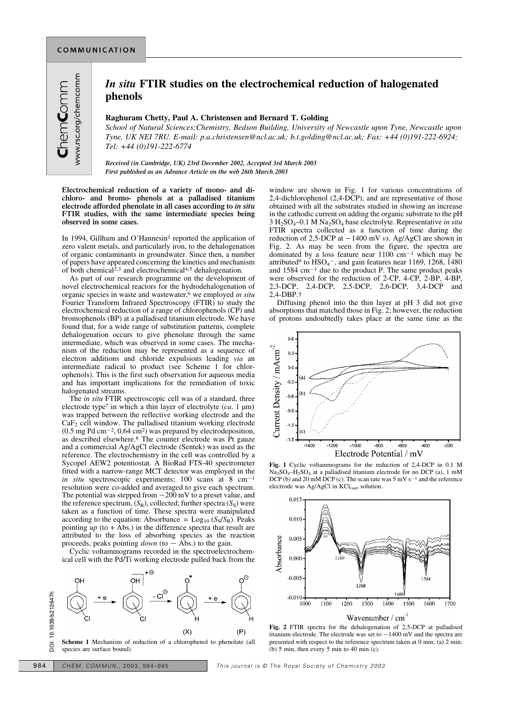## *In situ* **FTIR studies on the electrochemical reduction of halogenated phenols**

## **Raghuram Chetty, Paul A. Christensen and Bernard T. Golding**

*School of Natural Sciences;Chemistry, Bedson Building, University of Newcastle upon Tyne, Newcastle upon Tyne, UK NEI 7RU. E-mail: p.a.christensen@ncl.ac.uk; b.t.golding@ncl.ac.uk; Fax: +44 (0)191-222-6924; Tel: +44 (0)191-222-6774*

*Received (in Cambridge, UK) 23rd December 2002, Accepted 3rd March 2003 First published as an Advance Article on the web 26th March 2003*

**Electrochemical reduction of a variety of mono- and dichloro- and bromo- phenols at a palladised titanium electrode afforded phenolate in all cases according to** *in situ* **FTIR studies, with the same intermediate species being observed in some cases.**

In 1994, Gillham and O'Hannesin<sup>1</sup> reported the application of zero valent metals, and particularly iron, to the dehalogenation of organic contaminants in groundwater. Since then, a number of papers have appeared concerning the kinetics and mechanism of both chemical<sup>2,3</sup> and electrochemical<sup>4,5</sup> dehalogenation.

As part of our research programme on the development of novel electrochemical reactors for the hydrodehalogenation of organic species in waste and wastewater,6 we employed *in situ* Fourier Transform Infrared Spectroscopy (FTIR) to study the electrochemical reduction of a range of chlorophenols (CP) and bromophenols (BP) at a palladised titanium electrode. We have found that, for a wide range of substitution patterns, complete dehalogenation occurs to give phenolate through the same intermediate, which was observed in some cases. The mechanism of the reduction may be represented as a sequence of electron additions and chloride expulsions leading *via* an intermediate radical to product (see Scheme 1 for chlorophenols). This is the first such observation for aqueous media and has important implications for the remediation of toxic halogenated streams.

The *in situ* FTIR spectroscopic cell was of a standard, three electrode type7 in which a thin layer of electrolyte (*ca*. 1 µm) was trapped between the reflective working electrode and the CaF<sup>2</sup> cell window. The palladised titanium working electrode  $(0.5 \text{ mg Pd cm}^{-2}, 0.64 \text{ cm}^2)$  was prepared by electrodeposition, as described elsewhere.8 The counter electrode was Pt gauze and a commercial Ag/AgCl electrode (Sentek) was used as the reference. The electrochemistry in the cell was controlled by a Sycopel AEW2 potentiostat. A BioRad FTS-40 spectrometer fitted with a narrow-range MCT detector was employed in the *in situ* spectroscopic experiments; 100 scans at 8 cm<sup> $-1$ </sup> resolution were co-added and averaged to give each spectrum. The potential was stepped from  $-200$  mV to a preset value, and the reference spectrum,  $(S_R)$ , collected; further spectra  $(S_S)$  were taken as a function of time. These spectra were manipulated according to the equation: Absorbance =  $\text{Log}_{10} (S_S/S_R)$ . Peaks pointing  $up$  (to  $+$   $\hat{A}$ bs.) in the difference spectra that result are attributed to the loss of absorbing species as the reaction proceeds, peaks pointing  $down$  (to  $-$  Abs.) to the gain.

Cyclic voltammograms recorded in the spectroelectrochemical cell with the Pd/Ti working electrode pulled back from the



**Scheme 1** Mechanism of reduction of a chlorophenol to phenolate (all species are surface bound).

window are shown in Fig. 1 for various concentrations of 2,4-dichlorophenol  $(2,4-D\check{C}P)$ , and are representative of those obtained with all the substrates studied in showing an increase in the cathodic current on adding the organic substrate to the pH 3 H2SO4–0.1 M Na2SO<sup>4</sup> base electrolyte. Representative *in situ* FTIR spectra collected as a function of time during the reduction of 2,5-DCP at  $-1400$  mV *vs.* Ag/AgCl are shown in Fig. 2. As may be seen from the figure, the spectra are dominated by a loss feature near  $1100 \text{ cm}^{-1}$  which may be attributed<sup>9</sup> to  $HSO<sub>4</sub>$ , and gain features near 1169, 1268, 1480 and  $1584 \text{ cm}^{-1}$  due to the product P. The same product peaks were observed for the reduction of 2-CP, 4-CP, 2-BP, 4-BP, 2,3-DCP, 2,4-DCP, 2,5-DCP, 2,6-DCP, 3,4-DCP and 2,4-DBP.†

Diffusing phenol into the thin layer at pH 3 did not give absorptions that matched those in Fig. 2; however, the reduction of protons undoubtedly takes place at the same time as the



**Fig. 1** Cyclic voltammograms for the reduction of 2,4-DCP in 0.1 M Na2SO4–H2SO<sup>4</sup> at a palladised titanium electrode for no DCP (a), 1 mM DCP (b) and 20 mM DCP (c). The scan rate was  $5 \text{ mV s}^{-1}$  and the reference electrode was Ag/AgCl in KCl<sub>(sat)</sub> solution.



**Fig. 2** FTIR spectra for the dehalogenation of 2,5-DCP at palladised titanium electrode. The electrode was set to  $-1400$  mV and the spectra are presented with respect to the reference spectrum taken at 0 min; (a) 2 min; (b) 5 min, then every 5 min to 40 min (c).